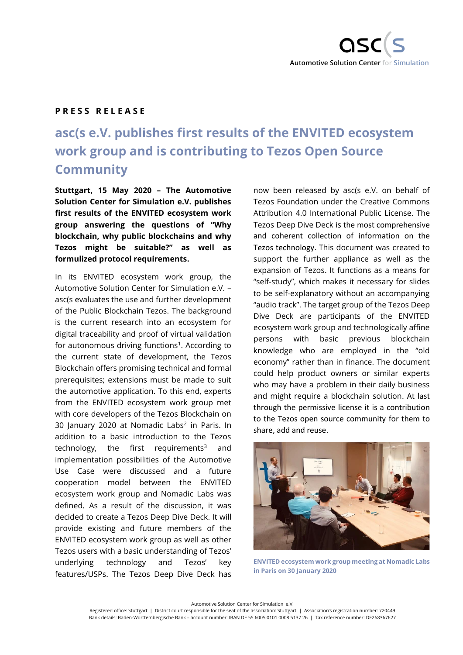

## **P R E S S R E L E A S E**

## **asc(s e.V. publishes first results of the ENVITED ecosystem work group and is contributing to Tezos Open Source Community**

**Stuttgart, 15 May 2020 – The Automotive Solution Center for Simulation e.V. publishes first results of the ENVITED ecosystem work group answering the questions of "Why blockchain, why public blockchains and why Tezos might be suitable?" as well as formulized protocol requirements.**

In its ENVITED ecosystem work group, the Automotive Solution Center for Simulation e.V. – asc(s evaluates the use and further development of the Public Blockchain Tezos. The background is the current research into an ecosystem for digital traceability and proof of virtual validation for autonomous driving functions<sup>1</sup>. According to the current state of development, the Tezos Blockchain offers promising technical and formal prerequisites; extensions must be made to suit the automotive application. To this end, experts from the ENVITED ecosystem work group met with core developers of the Tezos Blockchain on 30 January 2020 at Nomadic Labs<sup>2</sup> in Paris. In addition to a basic introduction to the Tezos technology, the first requirements<sup>3</sup> and implementation possibilities of the Automotive Use Case were discussed and a future cooperation model between the ENVITED ecosystem work group and Nomadic Labs was defined. As a result of the discussion, it was decided to create a Tezos Deep Dive Deck. It will provide existing and future members of the ENVITED ecosystem work group as well as other Tezos users with a basic understanding of Tezos' underlying technology and Tezos' key features/USPs. The Tezos Deep Dive Deck has

now been released by asc(s e.V. on behalf of Tezos Foundation under the Creative Commons Attribution 4.0 International Public License. The Tezos Deep Dive Deck is the most comprehensive and coherent collection of information on the Tezos technology. This document was created to support the further appliance as well as the expansion of Tezos. It functions as a means for "self-study", which makes it necessary for slides to be self-explanatory without an accompanying "audio track". The target group of the Tezos Deep Dive Deck are participants of the ENVITED ecosystem work group and technologically affine persons with basic previous blockchain knowledge who are employed in the "old economy" rather than in finance. The document could help product owners or similar experts who may have a problem in their daily business and might require a blockchain solution. At last through the permissive license it is a contribution to the Tezos open source community for them to share, add and reuse.



**ENVITED ecosystem work group meeting at Nomadic Labs in Paris on 30 January 2020**